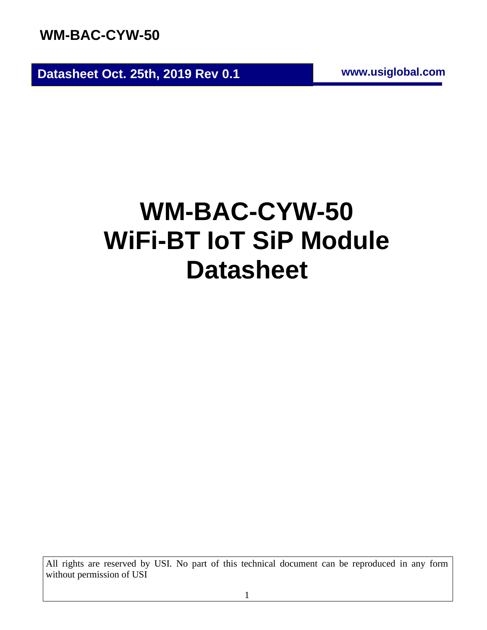**WM-BAC-CYW-50**

**Datasheet Oct. 25th, 2019 Rev 0.1 www.usiglobal.com**

# **WM-BAC-CYW-50 WiFi-BT IoT SiP Module Datasheet**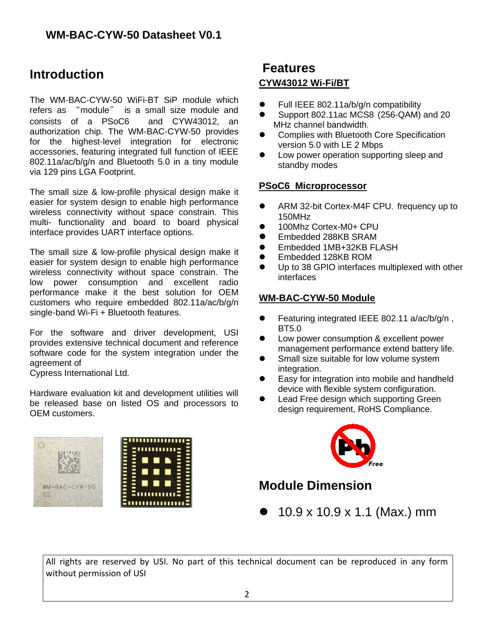# **1 Introduction**

The WM-BAC-CYW-50 WiFi-BT SiP module which refers as "module" is a small size module and consists of a PSoC6 and CYW43012, an authorization chip. The WM-BAC-CYW-50 provides for the highest-level integration for electronic accessories, featuring integrated full function of IEEE 802.11a/ac/b/g/n and Bluetooth 5.0 in a tiny module via 129 pins LGA Footprint.

The small size & low-profile physical design make it easier for system design to enable high performance wireless connectivity without space constrain. This multi- functionality and board to board physical interface provides UART interface options.

The small size & low-profile physical design make it easier for system design to enable high performance wireless connectivity without space constrain. The low power consumption and excellent radio performance make it the best solution for OEM customers who require embedded 802.11a/ac/b/g/n single-band Wi-Fi + Bluetooth features.

For the software and driver development, USI provides extensive technical document and reference software code for the system integration under the agreement of

Cypress International Ltd.

Hardware evaluation kit and development utilities will be released base on listed OS and processors to OEM customers.



## **2 Features CYW43012 Wi-Fi/BT**

- ⚫ Full IEEE 802.11a/b/g/n compatibility
- ⚫ Support 802.11ac MCS8 (256-QAM) and 20 MHz channel bandwidth.
- ⚫ Complies with Bluetooth Core Specification version 5.0 with LE 2 Mbps
- ⚫ Low power operation supporting sleep and standby modes

#### **PSoC6 Microprocessor**

- ARM 32-bit Cortex-M4F CPU, frequency up to 150MHz
- ⚫ 100Mhz Cortex-M0+ CPU
- ⚫ Embedded 288KB SRAM
- ⚫ Embedded 1MB+32KB FLASH
- ⚫ Embedded 128KB ROM
- Up to 38 GPIO interfaces multiplexed with other interfaces

#### **WM-BAC-CYW-50 Module**

- Featuring integrated IEEE 802.11 a/ac/b/g/n, BT5.0
- ⚫ Low power consumption & excellent power management performance extend battery life.
- Small size suitable for low volume system integration.
- ⚫ Easy for integration into mobile and handheld device with flexible system configuration.
- ⚫ Lead Free design which supporting Green design requirement, RoHS Compliance.



## **3 Module Dimension**

 $\bullet$  10.9 x 10.9 x 1.1 (Max.) mm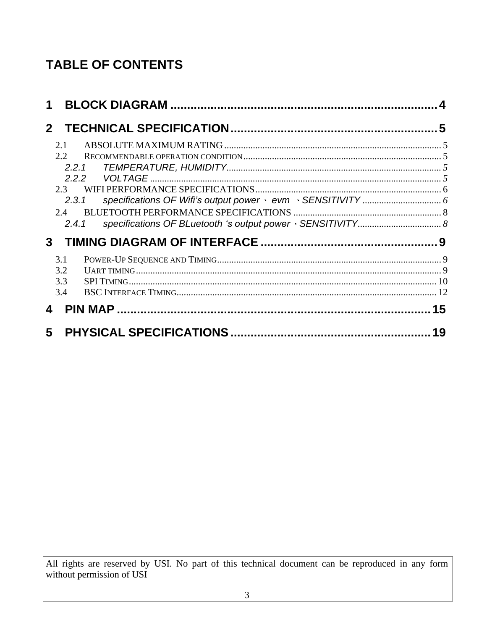# **TABLE OF CONTENTS**

| $\mathbf 1$  |    |  |
|--------------|----|--|
| $\mathbf{2}$ |    |  |
| 2.1          |    |  |
| 2.2          |    |  |
|              |    |  |
|              |    |  |
| 2.3          |    |  |
| 2.3.1        |    |  |
| 2.4          |    |  |
| 2.4.1        |    |  |
|              |    |  |
| 3.1          |    |  |
| 3.2          |    |  |
| 3.3          |    |  |
| 3.4          |    |  |
| 4            |    |  |
| 5            | 19 |  |
|              |    |  |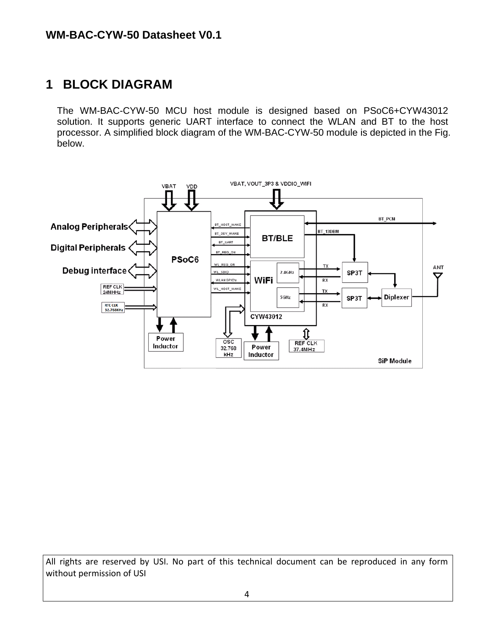## <span id="page-3-0"></span>**1 BLOCK DIAGRAM**

The WM-BAC-CYW-50 MCU host module is designed based on PSoC6+CYW43012 solution. It supports generic UART interface to connect the WLAN and BT to the host processor. A simplified block diagram of the WM-BAC-CYW-50 module is depicted in the Fig. below.

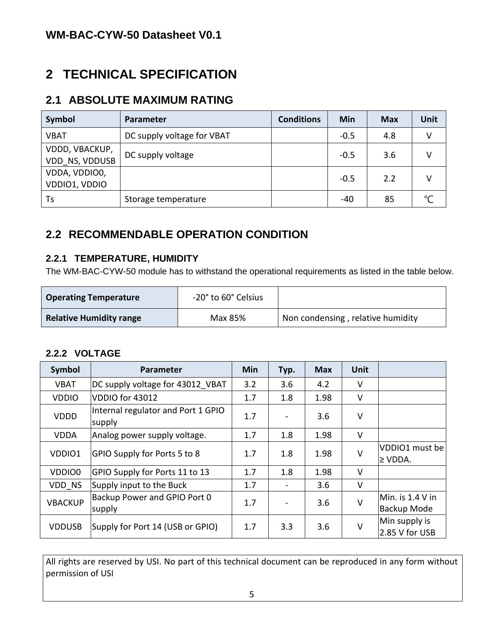# <span id="page-4-0"></span>**2 TECHNICAL SPECIFICATION**

## <span id="page-4-1"></span>**2.1 ABSOLUTE MAXIMUM RATING**

| Symbol                           | Parameter                  | <b>Conditions</b> | Min    | <b>Max</b> | Unit          |
|----------------------------------|----------------------------|-------------------|--------|------------|---------------|
| <b>VBAT</b>                      | DC supply voltage for VBAT |                   | $-0.5$ | 4.8        | v             |
| VDDD, VBACKUP,<br>VDD NS, VDDUSB | DC supply voltage          |                   | $-0.5$ | 3.6        | v             |
| VDDA, VDDIO0,<br>VDDIO1, VDDIO   |                            |                   | $-0.5$ | 2.2        | v             |
| Ts                               | Storage temperature        |                   | $-40$  | 85         | $\mathcal{C}$ |

## <span id="page-4-2"></span>**2.2 RECOMMENDABLE OPERATION CONDITION**

#### <span id="page-4-3"></span>**2.2.1 TEMPERATURE, HUMIDITY**

The WM-BAC-CYW-50 module has to withstand the operational requirements as listed in the table below.

| <b>Operating Temperature</b>   | -20° to 60° Celsius |                                   |
|--------------------------------|---------------------|-----------------------------------|
| <b>Relative Humidity range</b> | Max 85%             | Non condensing, relative humidity |

#### <span id="page-4-4"></span>**2.2.2 VOLTAGE**

| Symbol         | <b>Parameter</b>                             | Min | Typ. | <b>Max</b> | <b>Unit</b> |                                |
|----------------|----------------------------------------------|-----|------|------------|-------------|--------------------------------|
| <b>VBAT</b>    | DC supply voltage for 43012 VBAT             | 3.2 | 3.6  | 4.2        | $\vee$      |                                |
| <b>VDDIO</b>   | VDDIO for 43012                              | 1.7 | 1.8  | 1.98       | V           |                                |
| <b>VDDD</b>    | Internal regulator and Port 1 GPIO<br>supply | 1.7 |      | 3.6        | V           |                                |
| <b>VDDA</b>    | Analog power supply voltage.                 | 1.7 | 1.8  | 1.98       | V           |                                |
| VDDIO1         | GPIO Supply for Ports 5 to 8                 | 1.7 | 1.8  | 1.98       | $\vee$      | VDDIO1 must be<br>$\geq$ VDDA. |
| VDDIO0         | GPIO Supply for Ports 11 to 13               | 1.7 | 1.8  | 1.98       | $\vee$      |                                |
| VDD NS         | Supply input to the Buck                     | 1.7 |      | 3.6        | V           |                                |
| <b>VBACKUP</b> | Backup Power and GPIO Port 0                 | 1.7 |      | 3.6        | V           | Min. is 1.4 V in               |
|                | supply                                       |     |      |            |             | Backup Mode                    |
| <b>VDDUSB</b>  | Supply for Port 14 (USB or GPIO)             | 1.7 | 3.3  | 3.6        | V           | Min supply is                  |
|                |                                              |     |      |            |             | 2.85 V for USB                 |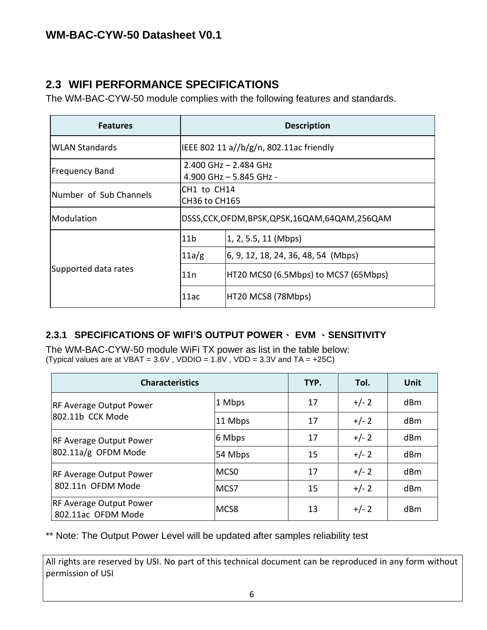## <span id="page-5-0"></span>**2.3 WIFI PERFORMANCE SPECIFICATIONS**

The WM-BAC-CYW-50 module complies with the following features and standards.

| <b>Features</b>        |                                                   | <b>Description</b>                                 |  |  |
|------------------------|---------------------------------------------------|----------------------------------------------------|--|--|
| lWLAN Standards        |                                                   | IEEE 802 11 a//b/g/n, 802.11ac friendly            |  |  |
| <b>Frequency Band</b>  |                                                   | 2.400 GHz $-$ 2.484 GHz<br>4.900 GHz - 5.845 GHz - |  |  |
| Number of Sub Channels |                                                   | CH1 to CH14<br>CH36 to CH165                       |  |  |
| Modulation             | DSSS, CCK, OFDM, BPSK, QPSK, 16QAM, 64QAM, 256QAM |                                                    |  |  |
|                        | 11 <sub>b</sub>                                   | 1, 2, 5.5, 11 (Mbps)                               |  |  |
|                        | 11a/g                                             | 6, 9, 12, 18, 24, 36, 48, 54 (Mbps)                |  |  |
| Supported data rates   | 11n                                               | HT20 MCS0 (6.5Mbps) to MCS7 (65Mbps)               |  |  |
|                        | 11ac                                              | HT20 MCS8 (78Mbps)                                 |  |  |

#### <span id="page-5-1"></span>**2.3.1 SPECIFICATIONS OF WIFI'S OUTPUT POWER**、 **EVM** 、**SENSITIVITY**

The WM-BAC-CYW-50 module WiFi TX power as list in the table below: (Typical values are at VBAT =  $3.6V$ , VDDIO =  $1.8V$ , VDD =  $3.3V$  and TA =  $+25C$ )

| <b>Characteristics</b>                                  |         | TYP. | Tol.    | Unit |
|---------------------------------------------------------|---------|------|---------|------|
| <b>RF Average Output Power</b>                          | 1 Mbps  | 17   | $+/- 2$ | dBm  |
| 802.11b CCK Mode                                        | 11 Mbps | 17   | $+/- 2$ | dBm  |
| <b>RF Average Output Power</b><br>$802.11a/g$ OFDM Mode | 6 Mbps  | 17   | $+/- 2$ | dBm  |
|                                                         | 54 Mbps | 15   | $+/- 2$ | dBm  |
| <b>RF Average Output Power</b>                          | IMCS0   | 17   | $+/- 2$ | dBm  |
| 802.11n OFDM Mode                                       | MCS7    | 15   | $+/- 2$ | dBm  |
| <b>RF Average Output Power</b><br>802.11ac OFDM Mode    | MCS8    | 13   | $+/- 2$ | dBm  |

\*\* Note: The Output Power Level will be updated after samples reliability test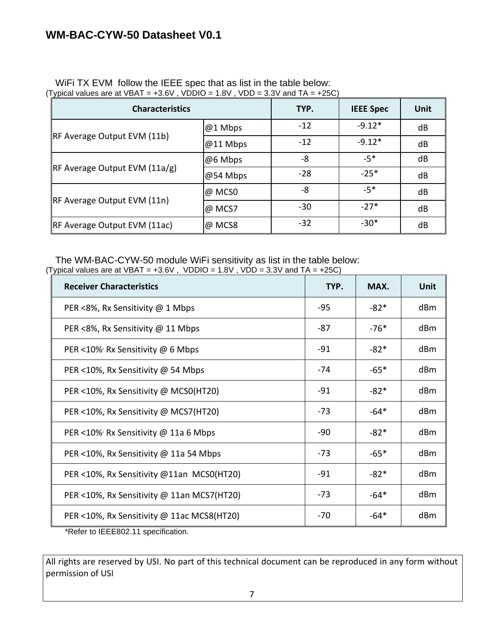| <b>Characteristics</b>        |            | TYP.  | <b>IEEE Spec</b> | <b>Unit</b> |
|-------------------------------|------------|-------|------------------|-------------|
|                               | $@1$ Mbps  | $-12$ | $-9.12*$         | dB          |
| RF Average Output EVM (11b)   | $@11$ Mbps | $-12$ | $-9.12*$         | dB          |
|                               | @6 Mbps    | -8    | $-5*$            | dB          |
| RF Average Output EVM (11a/g) | @54 Mbps   | $-28$ | $-25*$           | dB          |
|                               | @ MCS0     | -8    | $-5*$            | dB          |
| RF Average Output EVM (11n)   | @ MCS7     | $-30$ | $-27*$           | dB          |
| RF Average Output EVM (11ac)  | @ MCS8     | $-32$ | $-30*$           | dB          |

# WiFi TX EVM follow the IEEE spec that as list in the table below:

The WM-BAC-CYW-50 module WiFi sensitivity as list in the table below: (Typical values are at VBAT =  $+3.6V$ , VDDIO = 1.8V, VDD = 3.3V and TA =  $+25C$ )

| <b>Receiver Characteristics</b>                                                  | TYP.  | MAX.   | <b>Unit</b> |
|----------------------------------------------------------------------------------|-------|--------|-------------|
| PER <8%, Rx Sensitivity @ 1 Mbps                                                 | $-95$ | $-82*$ | dBm         |
| PER <8%, Rx Sensitivity @ 11 Mbps                                                | -87   | $-76*$ | dBm         |
| PER <10% Rx Sensitivity @ 6 Mbps                                                 | $-91$ | $-82*$ | dBm         |
| PER <10%, Rx Sensitivity @ 54 Mbps                                               | -74   | $-65*$ | dBm         |
| PER <10%, Rx Sensitivity @ MCS0(HT20)                                            | $-91$ | $-82*$ | dBm         |
| PER <10%, Rx Sensitivity @ MCS7(HT20)                                            | $-73$ | $-64*$ | dBm         |
| PER <10% Rx Sensitivity @ 11a 6 Mbps                                             | -90   | $-82*$ | dBm         |
| PER <10%, Rx Sensitivity @ 11a 54 Mbps                                           | $-73$ | $-65*$ | dBm         |
| PER <10%, Rx Sensitivity @11an MCS0(HT20)                                        | $-91$ | $-82*$ | dBm         |
| PER <10%, Rx Sensitivity @ 11an MCS7(HT20)                                       | $-73$ | $-64*$ | dBm         |
| PER <10%, Rx Sensitivity @ 11ac MCS8(HT20)<br>*Dofor to IEEE902.11 cpooification | $-70$ | $-64*$ | dBm         |

\*Refer to IEEE802.11 specification.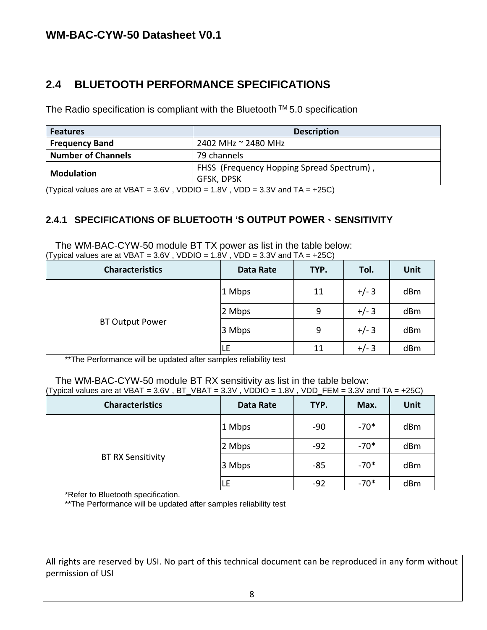## <span id="page-7-0"></span>**2.4 BLUETOOTH PERFORMANCE SPECIFICATIONS**

The Radio specification is compliant with the Bluetooth  $TM$  5.0 specification

| <b>Features</b>           | <b>Description</b>                        |  |  |
|---------------------------|-------------------------------------------|--|--|
| <b>Frequency Band</b>     | 2402 MHz ~ 2480 MHz                       |  |  |
| <b>Number of Channels</b> | 79 channels                               |  |  |
| <b>Modulation</b>         | FHSS (Frequency Hopping Spread Spectrum), |  |  |
|                           | GFSK, DPSK                                |  |  |

(Typical values are at VBAT =  $3.6V$ , VDDIO =  $1.8V$ , VDD =  $3.3V$  and TA =  $+25C$ )

#### <span id="page-7-1"></span>**2.4.1 SPECIFICATIONS OF BLUETOOTH 'S OUTPUT POWER**、**SENSITIVITY**

The WM-BAC-CYW-50 module BT TX power as list in the table below: (Typical values are at VBAT =  $3.6V$ , VDDIO =  $1.8V$ , VDD =  $3.3V$  and TA =  $+25C$ )

| <b>Characteristics</b> | Data Rate | TYP. | Tol.    | <b>Unit</b> |
|------------------------|-----------|------|---------|-------------|
| <b>BT Output Power</b> | 1 Mbps    | 11   | $+/- 3$ | dBm         |
|                        | 2 Mbps    | 9    | $+/- 3$ | dBm         |
|                        | 3 Mbps    | 9    | $+/- 3$ | dBm         |
|                        | LE        | 11   | $+/- 3$ | dBm         |

The Performance will be updated after samples reliability test

The WM-BAC-CYW-50 module BT RX sensitivity as list in the table below: (Typical values are at VBAT = 3.6V , BT\_VBAT = 3.3V , VDDIO = 1.8V , VDD\_FEM = 3.3V and TA = +25C)

| <b>Characteristics</b>   | Data Rate | TYP.  | Max.   | <b>Unit</b> |
|--------------------------|-----------|-------|--------|-------------|
|                          | 1 Mbps    | $-90$ | $-70*$ | dBm         |
|                          | 2 Mbps    | $-92$ | $-70*$ | dBm         |
| <b>BT RX Sensitivity</b> | 3 Mbps    | $-85$ | $-70*$ | dBm         |
|                          | LE        | $-92$ | $-70*$ | dBm         |

\*Refer to Bluetooth specification.

\*\*The Performance will be updated after samples reliability test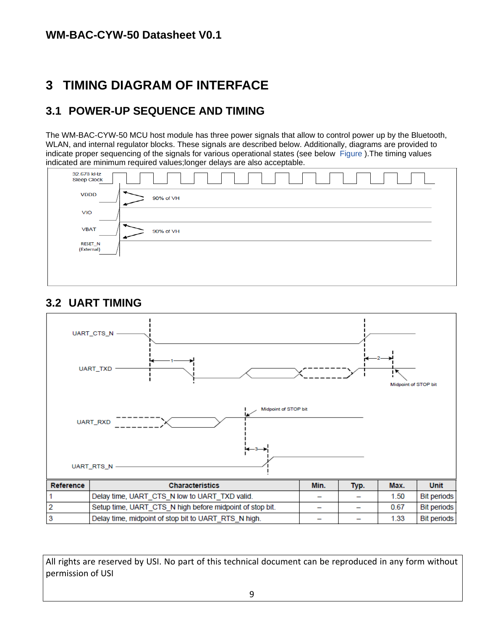# <span id="page-8-0"></span>**3 TIMING DIAGRAM OF INTERFACE**

## <span id="page-8-1"></span>**3.1 POWER-UP SEQUENCE AND TIMING**

The WM-BAC-CYW-50 MCU host module has three power signals that allow to control power up by the Bluetooth, WLAN, and internal regulator blocks. These signals are described below. Additionally, diagrams are provided to indicate proper sequencing of the signals for various operational states (see below Figure ).The timing values indicated are minimum required values;longer delays are also acceptable.

| 32.678 kHz<br><b>Sleep Clock</b> |           |
|----------------------------------|-----------|
| <b>VDDD</b>                      | 90% of VH |
| <b>VIO</b>                       |           |
| <b>VBAT</b>                      | 90% of VH |
| RESET_N<br>(External)            |           |
|                                  |           |

## <span id="page-8-2"></span>**3.2 UART TIMING**

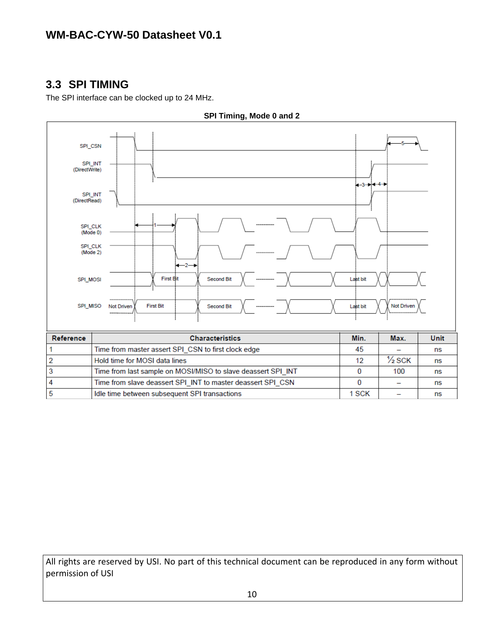## <span id="page-9-0"></span>**3.3 SPI TIMING**

The SPI interface can be clocked up to 24 MHz.



**SPI Timing, Mode 0 and 2**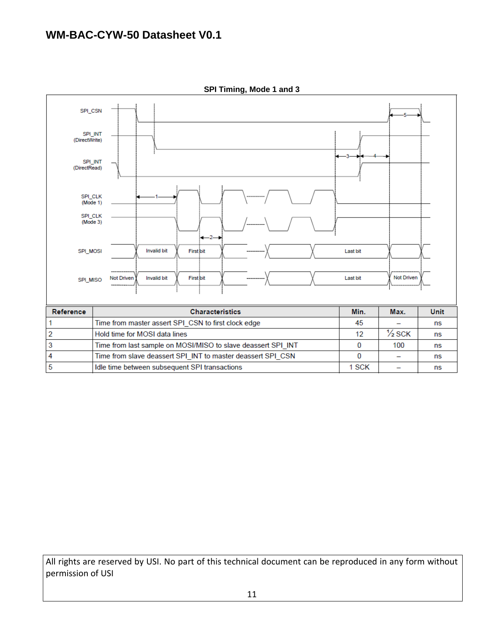

**SPI Timing, Mode 1 and 3**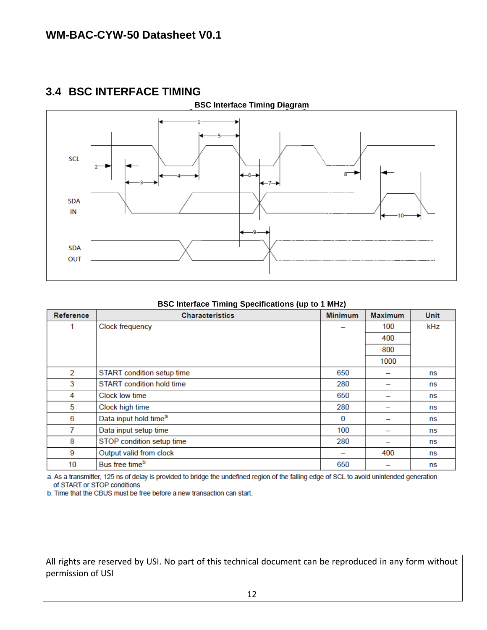## <span id="page-11-0"></span>**3.4 BSC INTERFACE TIMING**



#### **BSC Interface Timing Specifications (up to 1 MHz)**

| Reference | <b>Characteristics</b>            | <b>Minimum</b> | <b>Maximum</b> | <b>Unit</b> |
|-----------|-----------------------------------|----------------|----------------|-------------|
| 1.        | Clock frequency                   | -              | 100            | kHz         |
|           |                                   |                | 400            |             |
|           |                                   |                | 800            |             |
|           |                                   |                | 1000           |             |
| 2         | START condition setup time        | 650            |                | ns          |
| 3         | START condition hold time         | 280            |                | ns          |
| 4         | Clock low time                    | 650            | -              | ns          |
| 5         | Clock high time                   | 280            |                | ns          |
| 6         | Data input hold time <sup>a</sup> | 0              |                | ns          |
| 7         | Data input setup time             | 100            | -              | ns          |
| 8         | STOP condition setup time         | 280            | -              | ns          |
| 9         | Output valid from clock           |                | 400            | ns          |
| 10        | Bus free time <sup>b</sup>        | 650            |                | ns          |

a. As a transmitter, 125 ns of delay is provided to bridge the undefined region of the falling edge of SCL to avoid unintended generation of START or STOP conditions.

b. Time that the CBUS must be free before a new transaction can start.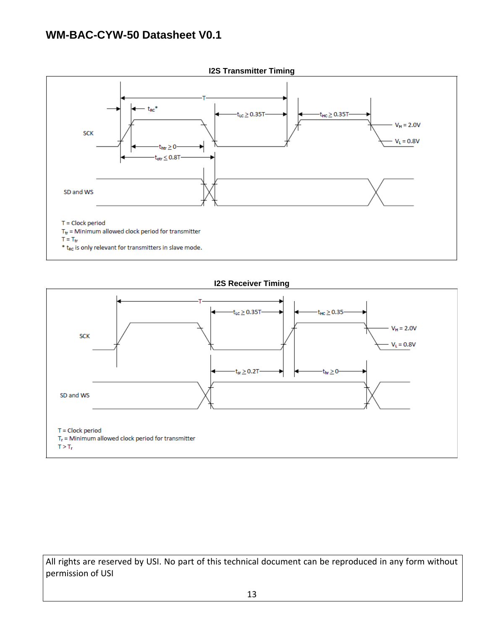

**I2S Receiver Timing**

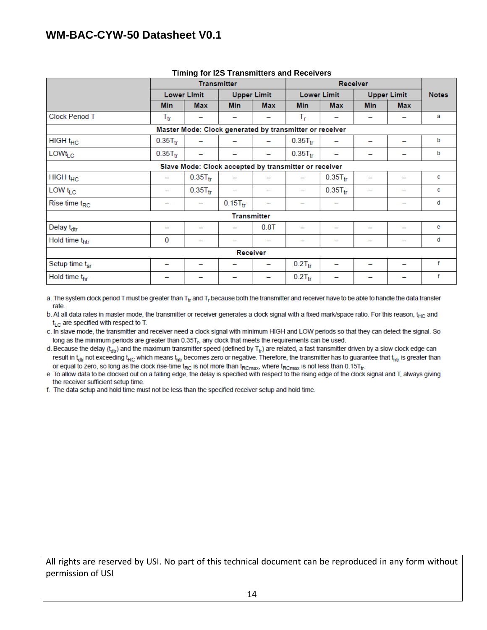| <b>Transmitter</b>                                    |              |                    | Receiver   |                    |              |                                                         |            |                                                   |
|-------------------------------------------------------|--------------|--------------------|------------|--------------------|--------------|---------------------------------------------------------|------------|---------------------------------------------------|
| <b>Lower Limit</b>                                    |              | <b>Upper Limit</b> |            | <b>Lower Limit</b> |              | <b>Upper Limit</b>                                      |            | <b>Notes</b>                                      |
| <b>Min</b>                                            | <b>Max</b>   | <b>Min</b>         | <b>Max</b> | <b>Min</b>         | <b>Max</b>   | <b>Min</b>                                              | <b>Max</b> |                                                   |
| $\mathsf{T}_{\mathsf{tr}}$                            |              |                    |            | $T_{\rm r}$        |              |                                                         |            | a                                                 |
|                                                       |              |                    |            |                    |              |                                                         |            |                                                   |
| $0.35T_{tr}$                                          | -            |                    |            | $0.35T_{tr}$       |              |                                                         |            | b                                                 |
| $0.35T_{tr}$                                          | -            |                    |            | $0.35T_{tr}$       |              |                                                         |            | b                                                 |
| Slave Mode: Clock accepted by transmitter or receiver |              |                    |            |                    |              |                                                         |            |                                                   |
| $\overline{\phantom{0}}$                              | $0.35T_{tr}$ |                    |            |                    | $0.35T_{tr}$ | —                                                       | -          | c                                                 |
| -                                                     | $0.35T_{tr}$ |                    |            |                    | $0.35T_{tr}$ |                                                         | -          | c                                                 |
|                                                       |              | $0.15T_{tr}$       |            |                    |              |                                                         |            | d                                                 |
| <b>Transmitter</b>                                    |              |                    |            |                    |              |                                                         |            |                                                   |
|                                                       |              |                    | $0.8$ T    |                    |              |                                                         |            | е                                                 |
| 0                                                     |              |                    |            |                    |              |                                                         |            | d                                                 |
| Receiver                                              |              |                    |            |                    |              |                                                         |            |                                                   |
|                                                       |              |                    |            | $0.2T_{tr}$        |              |                                                         |            | f                                                 |
|                                                       |              |                    |            | $0.2T_{tr}$        |              |                                                         |            | f                                                 |
|                                                       |              |                    |            |                    |              | Master Mode: Clock generated by transmitter or receiver |            | <b>THILING TOT IZS TRAISHIKKERS AND RECEIVERS</b> |

#### **Timing for I2S Transmitters and Receivers**

a. The system clock period T must be greater than  $T_{tr}$  and  $T_r$  because both the transmitter and receiver have to be able to handle the data transfer rate.

b. At all data rates in master mode, the transmitter or receiver generates a clock signal with a fixed mark/space ratio. For this reason,  $t_{HC}$  and  $t_{LC}$  are specified with respect to T.

c. In slave mode, the transmitter and receiver need a clock signal with minimum HIGH and LOW periods so that they can detect the signal. So long as the minimum periods are greater than 0.35T<sub>r</sub>, any clock that meets the requirements can be used.

d. Because the delay ( $t_{\text{dtr}}$ ) and the maximum transmitter speed (defined by  $T_{\text{tr}}$ ) are related, a fast transmitter driven by a slow clock edge can result in t<sub>dtr</sub> not exceeding t<sub>RC</sub> which means t<sub>htr</sub> becomes zero or negative. Therefore, the transmitter has to guarantee that t<sub>htr</sub> is greater than or equal to zero, so long as the clock rise-time t<sub>RC</sub> is not more than t<sub>RCmax</sub>, where t<sub>RCmax</sub> is not less than 0.15T<sub>tr</sub>.

e. To allow data to be clocked out on a falling edge, the delay is specified with respect to the rising edge of the clock signal and T, always giving the receiver sufficient setup time.

f. The data setup and hold time must not be less than the specified receiver setup and hold time.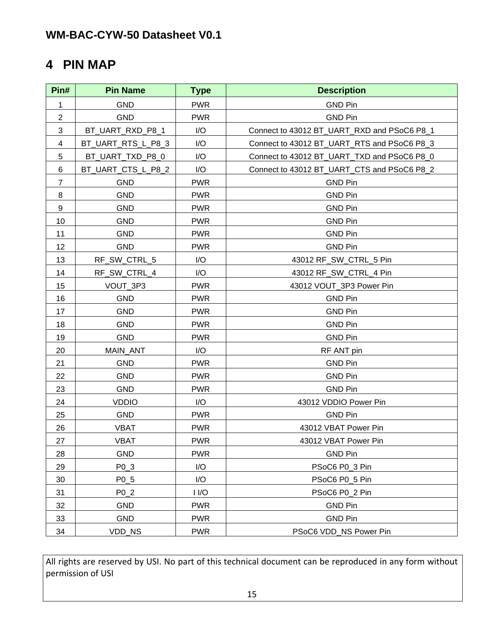# <span id="page-14-0"></span>**PIN MAP**

| Pin#           | <b>Pin Name</b>    | <b>Type</b> | <b>Description</b>                          |  |  |
|----------------|--------------------|-------------|---------------------------------------------|--|--|
| 1              | <b>GND</b>         | <b>PWR</b>  | <b>GND Pin</b>                              |  |  |
| $\overline{2}$ | <b>GND</b>         | <b>PWR</b>  | <b>GND Pin</b>                              |  |  |
| 3              | BT_UART_RXD_P8_1   | I/O         | Connect to 43012 BT_UART_RXD and PSoC6 P8_1 |  |  |
| 4              | BT_UART_RTS_L_P8_3 | I/O         | Connect to 43012 BT_UART_RTS and PSoC6 P8_3 |  |  |
| 5              | BT_UART_TXD_P8_0   | I/O         | Connect to 43012 BT_UART_TXD and PSoC6 P8_0 |  |  |
| 6              | BT_UART_CTS_L_P8_2 | I/O         | Connect to 43012 BT_UART_CTS and PSoC6 P8_2 |  |  |
| $\overline{7}$ | <b>GND</b>         | <b>PWR</b>  | <b>GND Pin</b>                              |  |  |
| 8              | <b>GND</b>         | <b>PWR</b>  | <b>GND Pin</b>                              |  |  |
| 9              | <b>GND</b>         | <b>PWR</b>  | <b>GND Pin</b>                              |  |  |
| 10             | <b>GND</b>         | <b>PWR</b>  | <b>GND Pin</b>                              |  |  |
| 11             | <b>GND</b>         | <b>PWR</b>  | <b>GND Pin</b>                              |  |  |
| 12             | <b>GND</b>         | <b>PWR</b>  | <b>GND Pin</b>                              |  |  |
| 13             | RF_SW_CTRL_5       | I/O         | 43012 RF_SW_CTRL_5 Pin                      |  |  |
| 14             | RF_SW_CTRL_4       | I/O         | 43012 RF_SW_CTRL_4 Pin                      |  |  |
| 15             | VOUT_3P3           | <b>PWR</b>  | 43012 VOUT_3P3 Power Pin                    |  |  |
| 16             | <b>GND</b>         | <b>PWR</b>  | <b>GND Pin</b>                              |  |  |
| 17             | <b>GND</b>         | <b>PWR</b>  | <b>GND Pin</b>                              |  |  |
| 18             | <b>GND</b>         | <b>PWR</b>  | <b>GND Pin</b>                              |  |  |
| 19             | <b>GND</b>         | <b>PWR</b>  | <b>GND Pin</b>                              |  |  |
| 20             | MAIN_ANT           | I/O         | RF ANT pin                                  |  |  |
| 21             | <b>GND</b>         | <b>PWR</b>  | <b>GND Pin</b>                              |  |  |
| 22             | <b>GND</b>         | <b>PWR</b>  | <b>GND Pin</b>                              |  |  |
| 23             | <b>GND</b>         | <b>PWR</b>  | <b>GND Pin</b>                              |  |  |
| 24             | <b>VDDIO</b>       | I/O         | 43012 VDDIO Power Pin                       |  |  |
| 25             | <b>GND</b>         | <b>PWR</b>  | <b>GND Pin</b>                              |  |  |
| 26             | <b>VBAT</b>        | <b>PWR</b>  | 43012 VBAT Power Pin                        |  |  |
| 27             | <b>VBAT</b>        | <b>PWR</b>  | 43012 VBAT Power Pin                        |  |  |
| 28             | <b>GND</b>         | <b>PWR</b>  | <b>GND Pin</b>                              |  |  |
| 29             | $P0_3$             | I/O         | PSoC6 P0_3 Pin                              |  |  |
| 30             | P0 5               | I/O         | PSoC6 P0_5 Pin                              |  |  |
| 31             | $P0_2$             | 11/0        | PSoC6 P0_2 Pin                              |  |  |
| 32             | <b>GND</b>         | <b>PWR</b>  | <b>GND Pin</b>                              |  |  |
| 33             | <b>GND</b>         | <b>PWR</b>  | <b>GND Pin</b>                              |  |  |
| 34             | VDD_NS             | <b>PWR</b>  | PSoC6 VDD_NS Power Pin                      |  |  |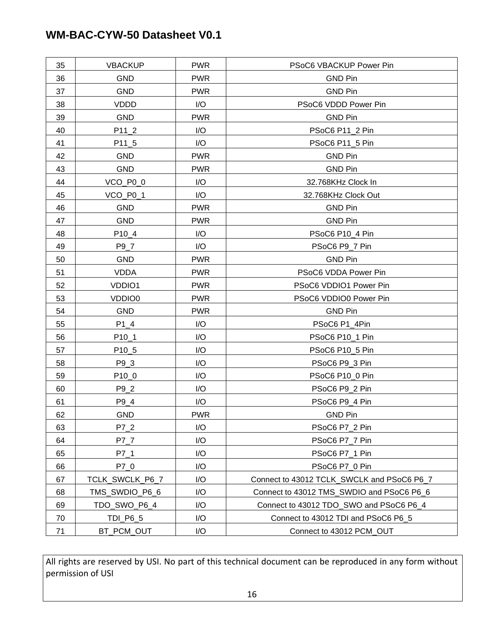| 35 | <b>VBACKUP</b><br><b>GND</b> | <b>PWR</b> | PSoC6 VBACKUP Power Pin                    |
|----|------------------------------|------------|--------------------------------------------|
|    |                              |            |                                            |
| 36 |                              | <b>PWR</b> | <b>GND Pin</b>                             |
| 37 | <b>GND</b>                   | <b>PWR</b> | <b>GND Pin</b>                             |
| 38 | <b>VDDD</b>                  | I/O        | PSoC6 VDDD Power Pin                       |
| 39 | <b>GND</b>                   | <b>PWR</b> | <b>GND Pin</b>                             |
| 40 | $P11_2$                      | I/O        | PSoC6 P11_2 Pin                            |
| 41 | P11_5                        | I/O        | PSoC6 P11_5 Pin                            |
| 42 | <b>GND</b>                   | <b>PWR</b> | <b>GND Pin</b>                             |
| 43 | <b>GND</b>                   | <b>PWR</b> | <b>GND Pin</b>                             |
| 44 | VCO_P0_0                     | I/O        | 32.768KHz Clock In                         |
| 45 | VCO_P0_1                     | I/O        | 32.768KHz Clock Out                        |
| 46 | <b>GND</b>                   | <b>PWR</b> | <b>GND Pin</b>                             |
| 47 | <b>GND</b>                   | <b>PWR</b> | <b>GND Pin</b>                             |
| 48 | P <sub>10_4</sub>            | I/O        | PSoC6 P10_4 Pin                            |
| 49 | P9_7                         | I/O        | PSoC6 P9_7 Pin                             |
| 50 | <b>GND</b>                   | <b>PWR</b> | <b>GND Pin</b>                             |
| 51 | <b>VDDA</b>                  | <b>PWR</b> | PSoC6 VDDA Power Pin                       |
| 52 | VDDIO1                       | <b>PWR</b> | PSoC6 VDDIO1 Power Pin                     |
| 53 | VDDIO0                       | <b>PWR</b> | PSoC6 VDDIO0 Power Pin                     |
| 54 | GND                          | <b>PWR</b> | <b>GND Pin</b>                             |
| 55 | $P1_4$                       | I/O        | PSoC6 P1_4Pin                              |
| 56 | $P10_1$                      | I/O        | PSoC6 P10_1 Pin                            |
| 57 | P <sub>10_5</sub>            | I/O        | PSoC6 P10_5 Pin                            |
| 58 | $P9_3$                       | I/O        | PSoC6 P9_3 Pin                             |
| 59 | P <sub>10_0</sub>            | I/O        | PSoC6 P10 0 Pin                            |
| 60 | $P9_2$                       | I/O        | PSoC6 P9_2 Pin                             |
| 61 | $P9_4$                       | I/O        | PSoC6 P9_4 Pin                             |
| 62 | GND                          | <b>PWR</b> | <b>GND Pin</b>                             |
| 63 | $P7_2$                       | I/O        | PSoC6 P7_2 Pin                             |
| 64 | $P7_7$                       | I/O        | PSoC6 P7_7 Pin                             |
| 65 | $P7_1$                       | I/O        | PSoC6 P7_1 Pin                             |
| 66 | $P7_0$                       | I/O        | PSoC6 P7_0 Pin                             |
| 67 | TCLK_SWCLK_P6_7              | I/O        | Connect to 43012 TCLK_SWCLK and PSoC6 P6_7 |
| 68 | TMS_SWDIO_P6_6               | I/O        | Connect to 43012 TMS_SWDIO and PSoC6 P6_6  |
| 69 | TDO_SWO_P6_4                 | I/O        | Connect to 43012 TDO_SWO and PSoC6 P6_4    |
| 70 | TDI_P6_5                     | I/O        | Connect to 43012 TDI and PSoC6 P6_5        |
| 71 | BT_PCM_OUT                   | I/O        | Connect to 43012 PCM_OUT                   |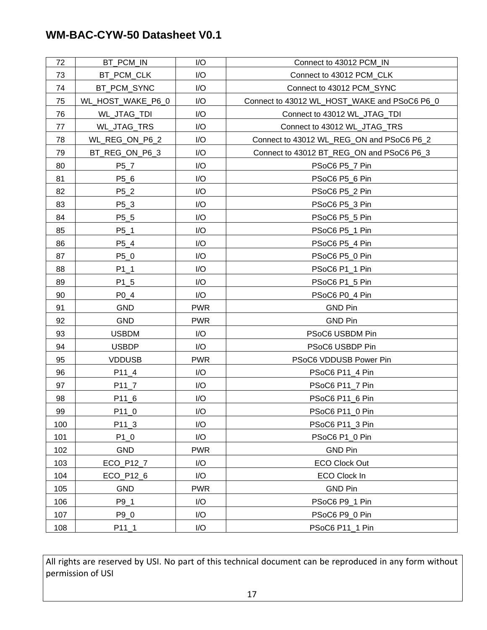| 72  | BT_PCM_IN         | I/O        | Connect to 43012 PCM IN                      |
|-----|-------------------|------------|----------------------------------------------|
| 73  | BT_PCM_CLK        | I/O        | Connect to 43012 PCM_CLK                     |
| 74  | BT_PCM_SYNC       | I/O        | Connect to 43012 PCM_SYNC                    |
| 75  | WL_HOST_WAKE_P6_0 | I/O        | Connect to 43012 WL_HOST_WAKE and PSoC6 P6_0 |
| 76  | WL_JTAG_TDI       | I/O        | Connect to 43012 WL_JTAG_TDI                 |
| 77  | WL_JTAG_TRS       | I/O        | Connect to 43012 WL_JTAG_TRS                 |
| 78  | WL_REG_ON_P6_2    | I/O        | Connect to 43012 WL_REG_ON and PSoC6 P6_2    |
| 79  | BT_REG_ON_P6_3    | I/O        | Connect to 43012 BT_REG_ON and PSoC6 P6_3    |
| 80  | $P5_7$            | I/O        | PSoC6 P5_7 Pin                               |
| 81  | $P5_6$            | I/O        | PSoC6 P5_6 Pin                               |
| 82  | $P5_2$            | I/O        | PSoC6 P5_2 Pin                               |
| 83  | $P5_3$            | I/O        | PSoC6 P5_3 Pin                               |
| 84  | $P5_5$            | I/O        | PSoC6 P5_5 Pin                               |
| 85  | $P5_1$            | I/O        | PSoC6 P5_1 Pin                               |
| 86  | $P5_4$            | I/O        | PSoC6 P5_4 Pin                               |
| 87  | $P5_0$            | I/O        | PSoC6 P5_0 Pin                               |
| 88  | $P1_1$            | I/O        | PSoC6 P1_1 Pin                               |
| 89  | $P1_5$            | I/O        | PSoC6 P1_5 Pin                               |
| 90  | $P0_4$            | I/O        | PSoC6 P0_4 Pin                               |
| 91  | <b>GND</b>        | <b>PWR</b> | <b>GND Pin</b>                               |
| 92  | <b>GND</b>        | <b>PWR</b> | <b>GND Pin</b>                               |
| 93  | <b>USBDM</b>      | I/O        | PSoC6 USBDM Pin                              |
| 94  | <b>USBDP</b>      | I/O        | PSoC6 USBDP Pin                              |
| 95  | <b>VDDUSB</b>     | <b>PWR</b> | PSoC6 VDDUSB Power Pin                       |
| 96  | $P11_4$           | I/O        | PSoC6 P11_4 Pin                              |
| 97  | $P11_7$           | I/O        | PSoC6 P11 7 Pin                              |
| 98  | P11_6             | I/O        | PSoC6 P11_6 Pin                              |
| 99  | $P11_0$           | I/O        | PSoC6 P11_0 Pin                              |
| 100 | $P11_3$           | I/O        | PSoC6 P11 3 Pin                              |
| 101 | $P1_0$            | I/O        | PSoC6 P1_0 Pin                               |
| 102 | <b>GND</b>        | <b>PWR</b> | GND Pin                                      |
| 103 | ECO_P12_7         | I/O        | <b>ECO Clock Out</b>                         |
| 104 | ECO_P12_6         | I/O        | ECO Clock In                                 |
| 105 | <b>GND</b>        | <b>PWR</b> | <b>GND Pin</b>                               |
| 106 | $P9_1$            | I/O        | PSoC6 P9 1 Pin                               |
| 107 | $P9_0$            | I/O        | PSoC6 P9_0 Pin                               |
| 108 | $P11_1$           | I/O        | PSoC6 P11_1 Pin                              |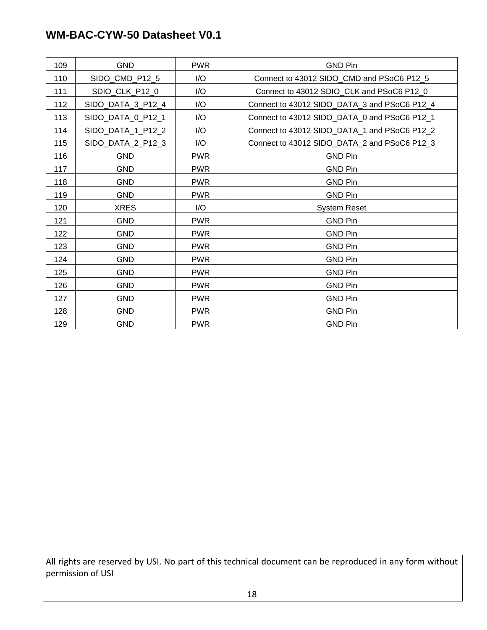| 109 | <b>GND</b>        | <b>PWR</b> | <b>GND Pin</b>                               |
|-----|-------------------|------------|----------------------------------------------|
| 110 | SIDO_CMD_P12_5    | I/O        | Connect to 43012 SIDO_CMD and PSoC6 P12_5    |
| 111 | SDIO_CLK_P12_0    | I/O        | Connect to 43012 SDIO_CLK and PSoC6 P12_0    |
| 112 | SIDO_DATA_3_P12_4 | I/O        | Connect to 43012 SIDO_DATA_3 and PSoC6 P12_4 |
| 113 | SIDO_DATA_0_P12_1 | I/O        | Connect to 43012 SIDO_DATA_0 and PSoC6 P12_1 |
| 114 | SIDO_DATA_1_P12_2 | I/O        | Connect to 43012 SIDO_DATA_1 and PSoC6 P12_2 |
| 115 | SIDO_DATA_2_P12_3 | I/O        | Connect to 43012 SIDO_DATA_2 and PSoC6 P12_3 |
| 116 | <b>GND</b>        | <b>PWR</b> | <b>GND Pin</b>                               |
| 117 | <b>GND</b>        | <b>PWR</b> | <b>GND Pin</b>                               |
| 118 | <b>GND</b>        | <b>PWR</b> | <b>GND Pin</b>                               |
| 119 | <b>GND</b>        | <b>PWR</b> | <b>GND Pin</b>                               |
| 120 | <b>XRES</b>       | I/O        | <b>System Reset</b>                          |
| 121 | <b>GND</b>        | <b>PWR</b> | <b>GND Pin</b>                               |
| 122 | <b>GND</b>        | <b>PWR</b> | <b>GND Pin</b>                               |
| 123 | <b>GND</b>        | <b>PWR</b> | <b>GND Pin</b>                               |
| 124 | <b>GND</b>        | <b>PWR</b> | <b>GND Pin</b>                               |
| 125 | <b>GND</b>        | <b>PWR</b> | <b>GND Pin</b>                               |
| 126 | <b>GND</b>        | <b>PWR</b> | <b>GND Pin</b>                               |
| 127 | <b>GND</b>        | <b>PWR</b> | <b>GND Pin</b>                               |
| 128 | <b>GND</b>        | <b>PWR</b> | <b>GND Pin</b>                               |
| 129 | <b>GND</b>        | <b>PWR</b> | <b>GND Pin</b>                               |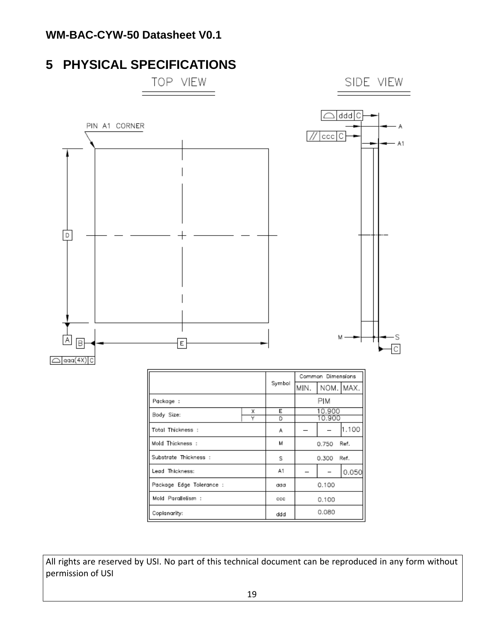# <span id="page-18-0"></span>**5 PHYSICAL SPECIFICATIONS**



All rights are reserved by USI. No part of this technical document can be reproduced in any form without permission of USI

ddd

0.080

Coplenarity: